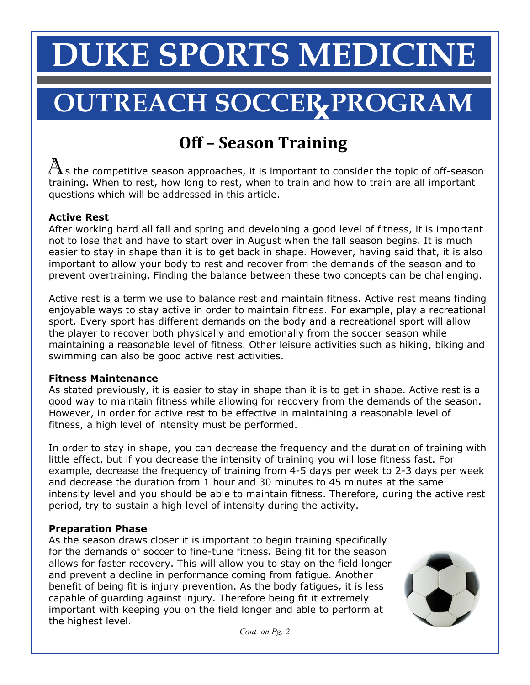## **DUKE SPORTS MEDICINE**

# $\overline{\textbf{OUTREACH SOCCER} \textbf{PROGRAM}}$

### **Off
–
Season
Training**

 $\bigwedge$ s the competitive season approaches, it is important to consider the topic of off-season training. When to rest, how long to rest, when to train and how to train are all important questions which will be addressed in this article.

#### **Active Rest**

After working hard all fall and spring and developing a good level of fitness, it is important not to lose that and have to start over in August when the fall season begins. It is much easier to stay in shape than it is to get back in shape. However, having said that, it is also important to allow your body to rest and recover from the demands of the season and to prevent overtraining. Finding the balance between these two concepts can be challenging.

Active rest is a term we use to balance rest and maintain fitness. Active rest means finding enjoyable ways to stay active in order to maintain fitness. For example, play a recreational sport. Every sport has different demands on the body and a recreational sport will allow the player to recover both physically and emotionally from the soccer season while maintaining a reasonable level of fitness. Other leisure activities such as hiking, biking and swimming can also be good active rest activities.

#### **Fitness Maintenance**

As stated previously, it is easier to stay in shape than it is to get in shape. Active rest is a good way to maintain fitness while allowing for recovery from the demands of the season. However, in order for active rest to be effective in maintaining a reasonable level of fitness, a high level of intensity must be performed.

In order to stay in shape, you can decrease the frequency and the duration of training with little effect, but if you decrease the intensity of training you will lose fitness fast. For example, decrease the frequency of training from 4-5 days per week to 2-3 days per week and decrease the duration from 1 hour and 30 minutes to 45 minutes at the same intensity level and you should be able to maintain fitness. Therefore, during the active rest period, try to sustain a high level of intensity during the activity.

#### **Preparation Phase**

As the season draws closer it is important to begin training specifically for the demands of soccer to fine-tune fitness. Being fit for the season allows for faster recovery. This will allow you to stay on the field longer and prevent a decline in performance coming from fatigue. Another benefit of being fit is injury prevention. As the body fatigues, it is less capable of guarding against injury. Therefore being fit it extremely important with keeping you on the field longer and able to perform at the highest level.



 *Cont. on Pg. 2*